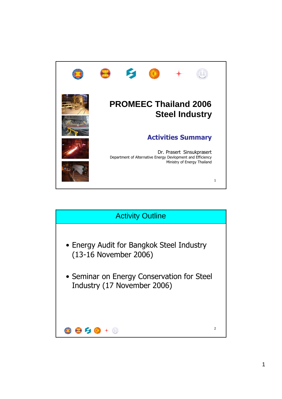

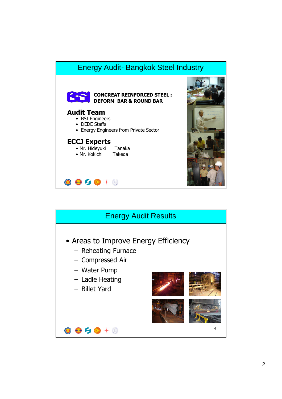## Energy Audit- Bangkok Steel Industry



## **CONCREAT REINFORCED STEEL : DEFORM BAR & ROUND BAR**

## **Audit Team**

- BSI Engineers
- DEDE Staffs
- Energy Engineers from Private Sector

## **ECCJ Experts**

 $0050 + 0$ 

|  | • Mr. Hideyuki | Tanaka   |
|--|----------------|----------|
|  | • Mr. Kokichi  | Takoda I |





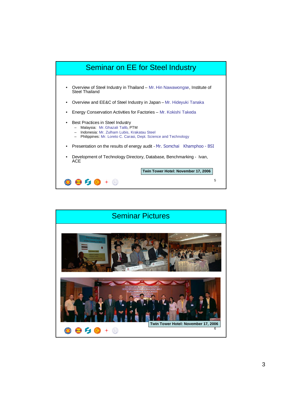